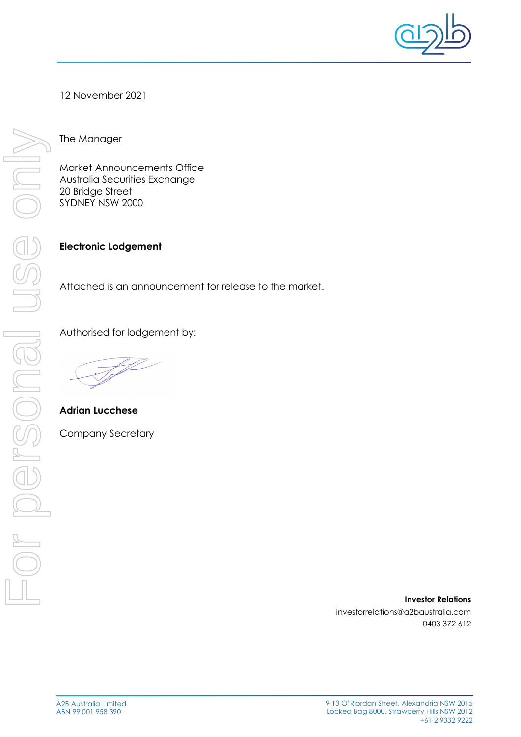

12 November 2021

The Manager

Market Announcements Office Australia Securities Exchange 20 Bridge Street SYDNEY NSW 2000

**Electronic Lodgement** 

Attached is an announcement for release to the market.

Authorised for lodgement by:

**Adrian Lucchese**

Company Secretary

**Investor Relations**  investorrelations@a2baustralia.com 0403 372 612